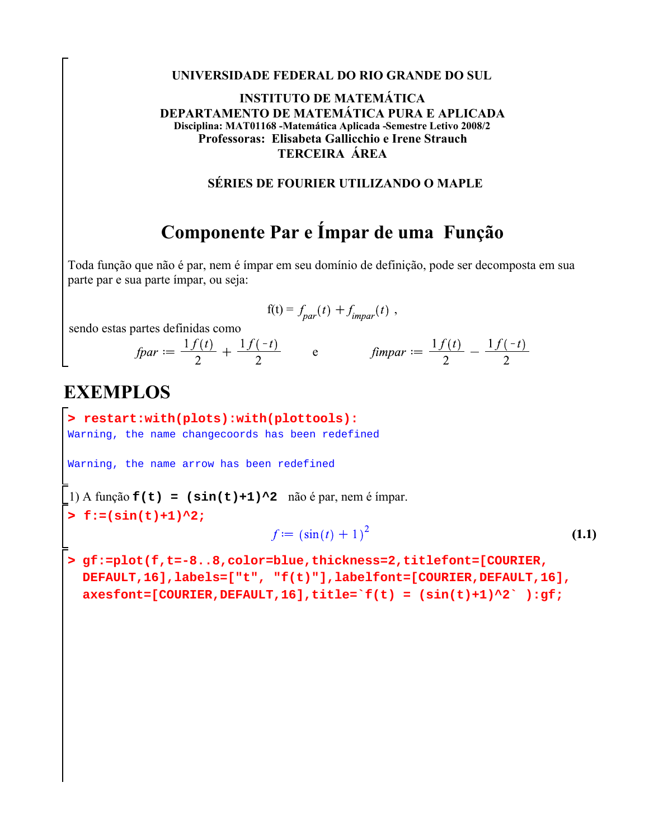#### **UNIVERSIDADE FEDERAL DO RIO GRANDE DO SUL**

#### **INSTITUTO DE MATEMÁTICA DEPARTAMENTO DE MATEMÁTICA PURA E APLICADA Disciplina: MAT01168 -Matemática Aplicada -Semestre Letivo 2008/2 Professoras: Elisabeta Gallicchio e Irene Strauch TERCEIRA ÁREA**

### **SÉRIES DE FOURIER UTILIZANDO O MAPLE**

# **Componente Par e Ímpar de uma Função**

Toda função que não é par, nem é ímpar em seu domínio de definição, pode ser decomposta em sua parte par e sua parte ímpar, ou seja:

$$
f(t) = f_{par}(t) + f_{impar}(t) ,
$$

sendo estas partes definidas como

*fpar* =  $\frac{1 f(t)}{2} + \frac{1 f(-t)}{2}$  e *fimpar* =  $\frac{1 f(t)}{2} - \frac{1 f(-t)}{2}$ 

## **EXEMPLOS**

**> restart:with(plots):with(plottools):** Warning, the name changecoords has been redefined

Warning, the name arrow has been redefined

1) A função  $f(t) = (\sin(t)+1)^2$  não é par, nem é ímpar.

**> f:=(sin(t)+1)^2;**

$$
f := \left(\sin(t) + 1\right)^2 \tag{1.1}
$$

**> gf:=plot(f,t=-8..8,color=blue,thickness=2,titlefont=[COURIER, DEFAULT,16],labels=["t", "f(t)"],labelfont=[COURIER,DEFAULT,16],**  $\texttt{axesfont}=[\texttt{COURIER},\texttt{DEFAULT},16], \texttt{title}^{\texttt{-1}}(t) = (\sin(t) + 1)^{2}$ ;  $\texttt{gft};$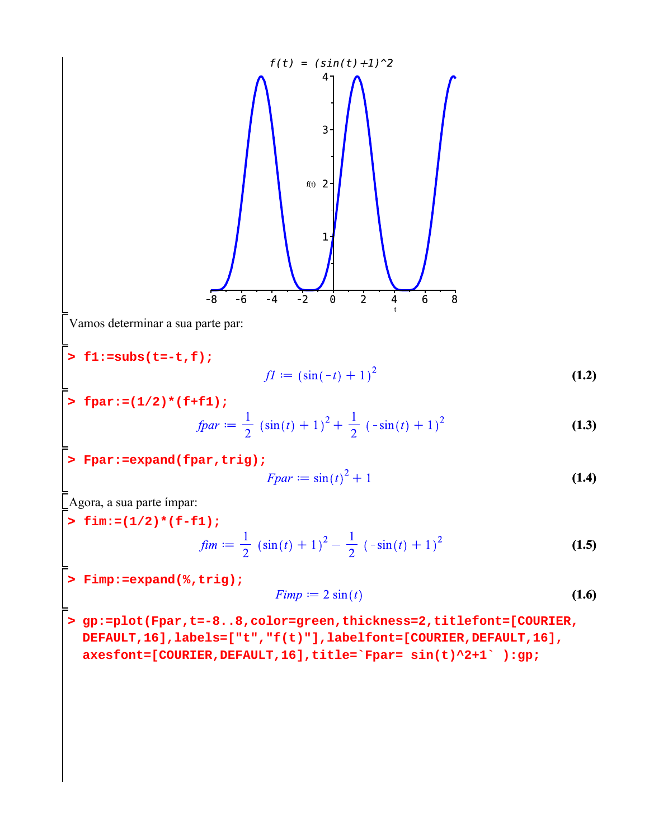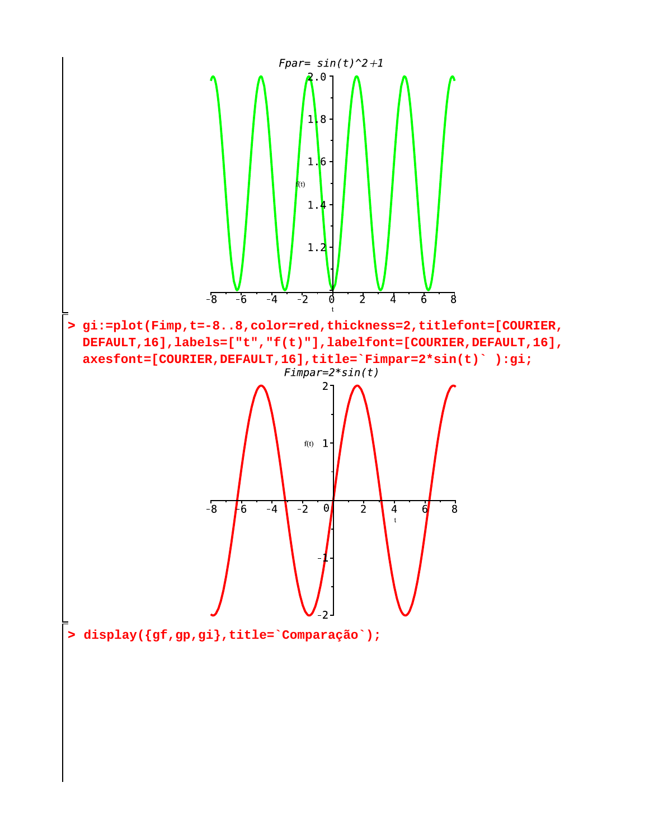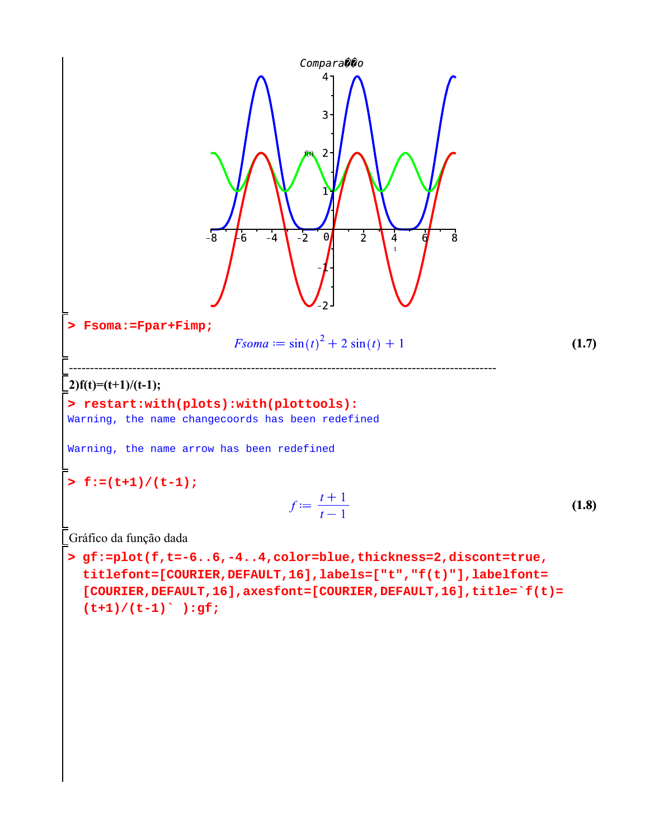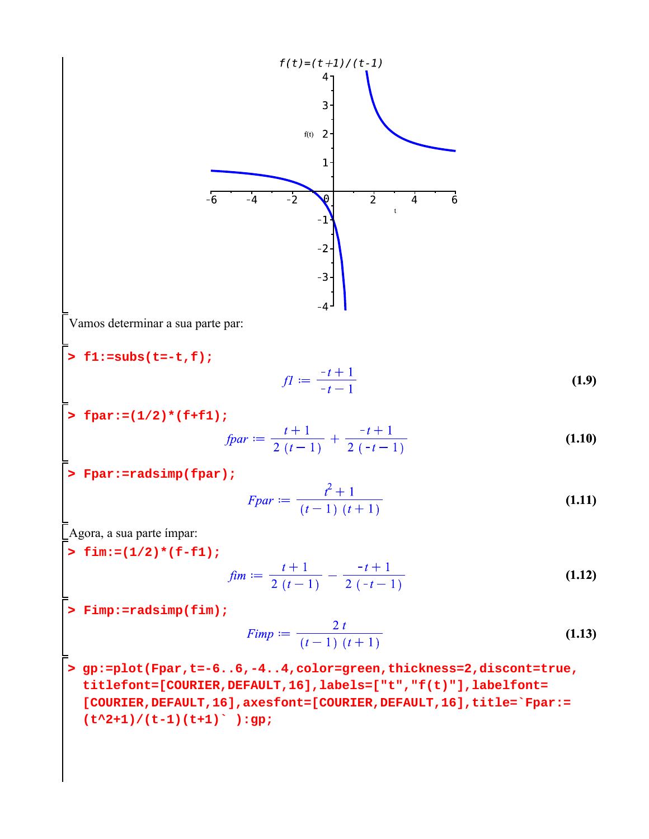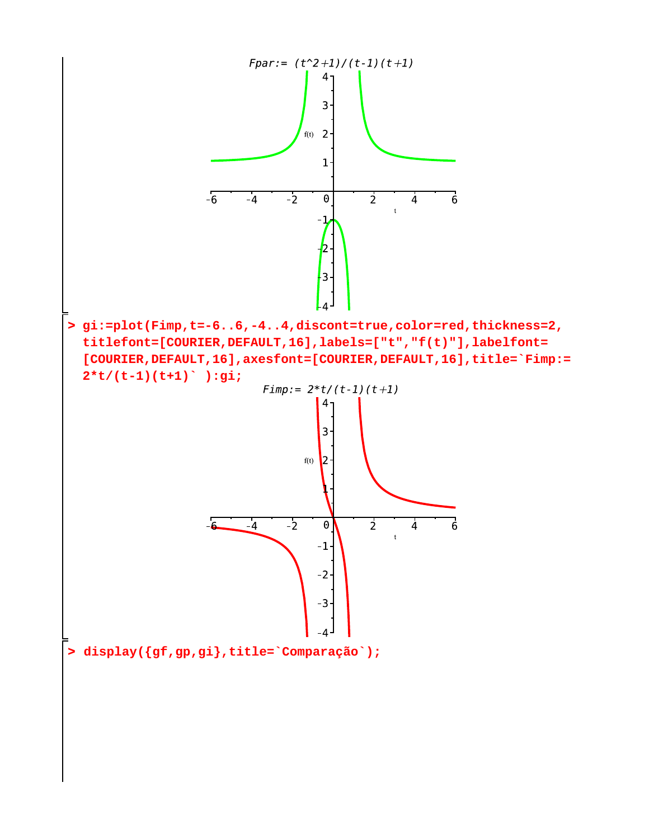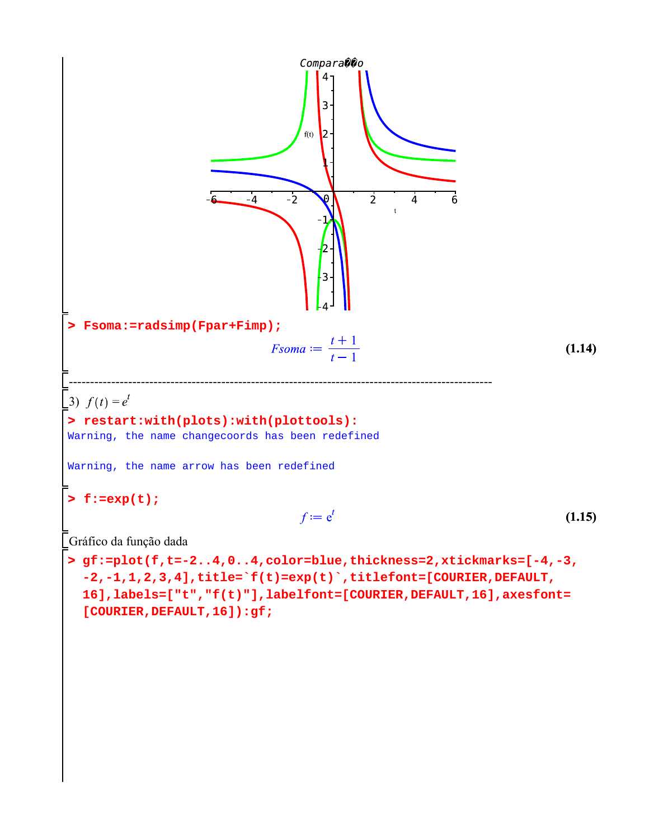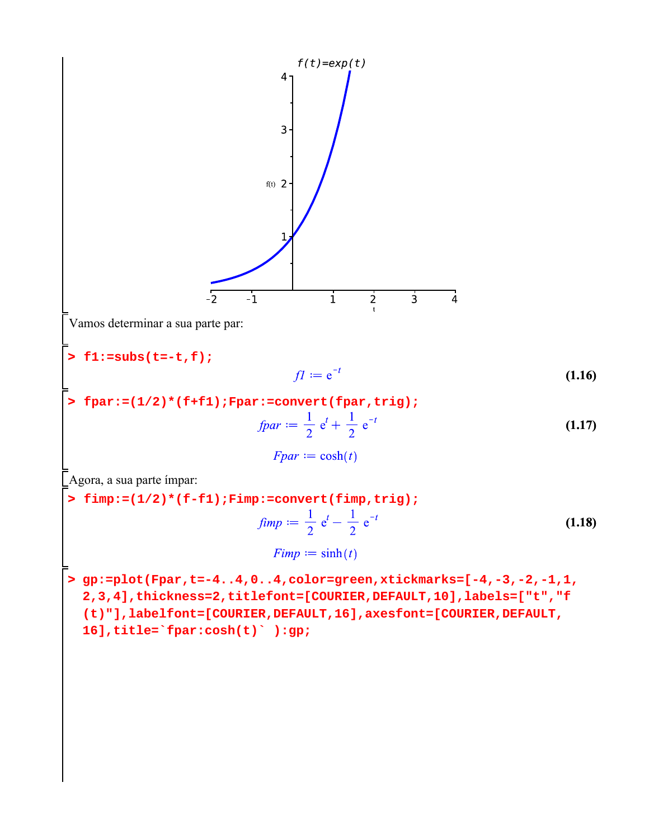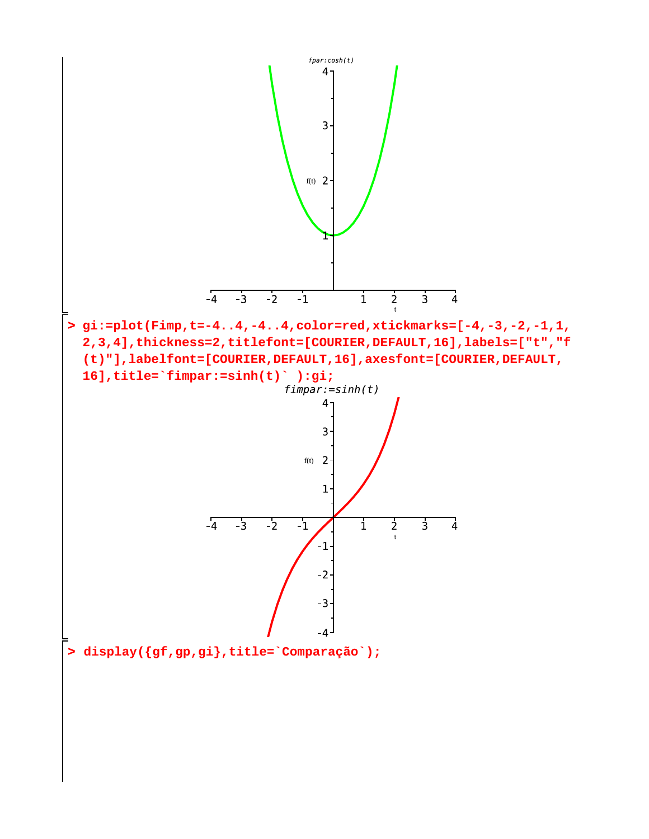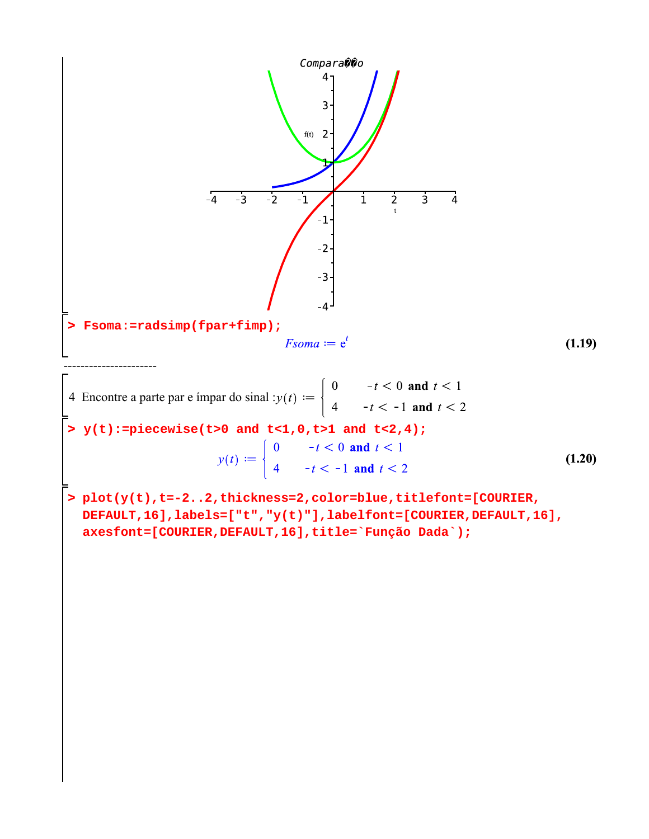

**> (1.20)** 4 Encontre a parte par e ímpar do sinal : **y(t):=piecewise(t>0 and t<1,0,t>1 and t<2,4);**

**> plot(y(t),t=-2..2,thickness=2,color=blue,titlefont=[COURIER, DEFAULT,16],labels=["t","y(t)"],labelfont=[COURIER,DEFAULT,16], axesfont=[COURIER,DEFAULT,16],title=`Função Dada`);**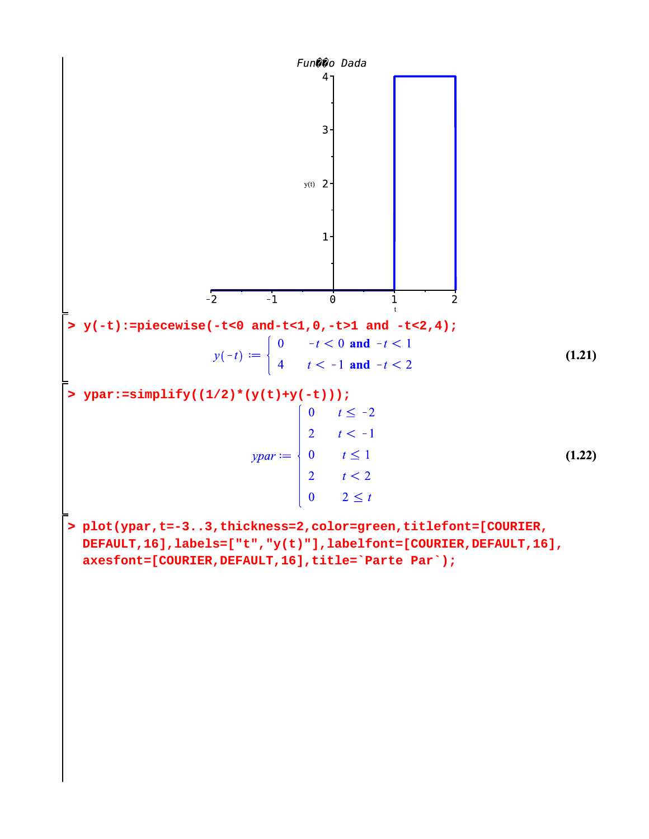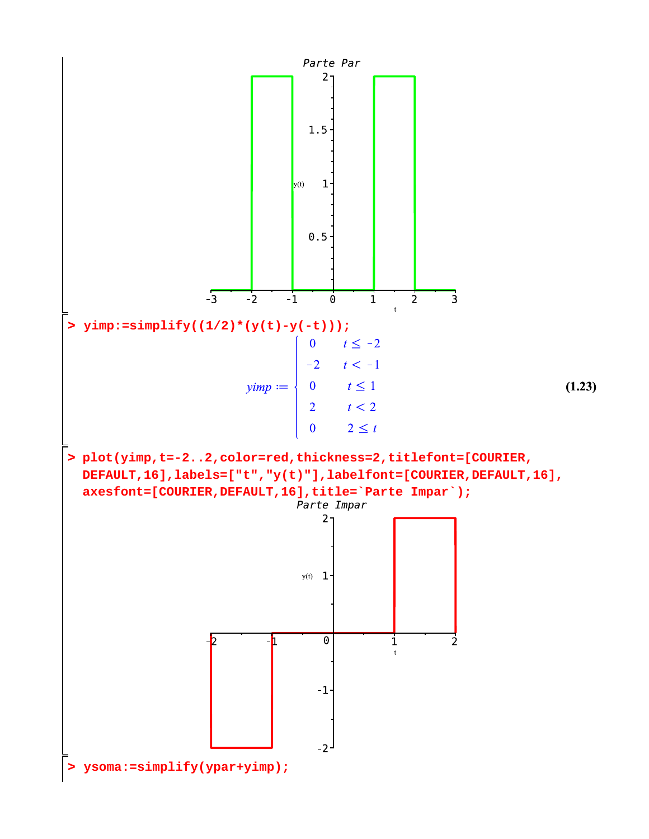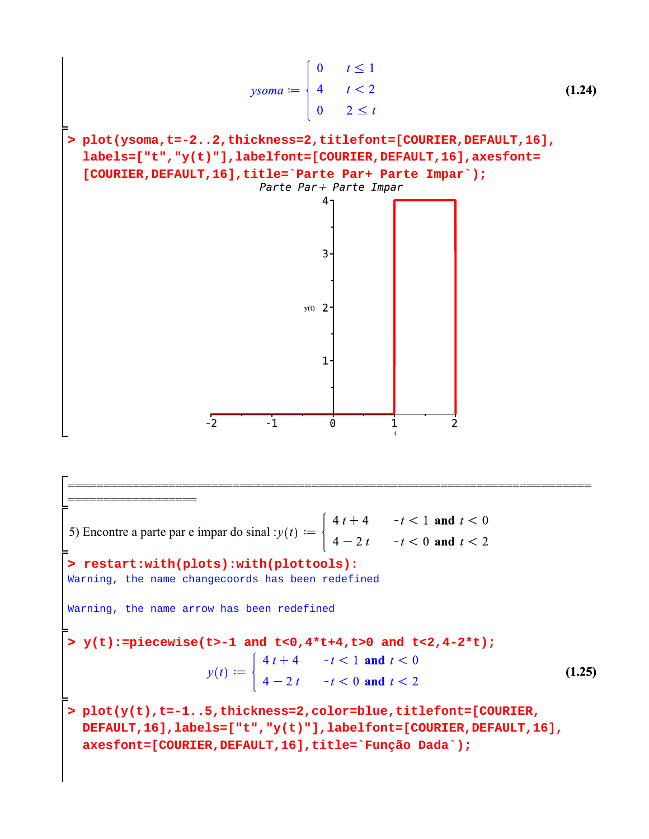$$
\begin{bmatrix}\n\text{y} & \text{y} & \text{y} & \text{y} \\
\text{y} & \text{y} & \text{y} & \text{z} \\
\text{y} & \text{z} & \text{z} & \text{z}\n\end{bmatrix}
$$
\n(1.24)  
\n
$$
\begin{bmatrix}\n\text{plot}(\text{ysoma}, t = -2..2, \text{thickness} = 2, \text{titlefont} = [\text{COURIER}, \text{DEFAULT}, 16], \\
\text{labels} = [\text{tt}, \text{ry}(t) \text{tt}], \text{labelfont} = [\text{COURIER}, \text{DEFAULT}, 16], \text{axesfont} = [\text{COURIER}, \text{DEFAULT}, 16], \text{title} = \text{Parte Part} + \text{Parte Impact} \text{Impar}^{\circ})\text{;} \\
\text{Parte Part} + \text{Parte Impact} \\
\text{1}\n\end{bmatrix}
$$
\n(1.24)  
\n
$$
\begin{bmatrix}\n\text{1} & \text{0} & \text{0} & \text{0} & \text{0} \\
\text{1} & \text{1} & \text{1} & \text{0} & \text{0} \\
\text{2} & \text{1} & \text{1} & \text{1}\n\end{bmatrix}
$$
\n(1.25)  
\n
$$
\begin{bmatrix}\n\text{1} & \text{0} & \text{0} & \text{0} & \text{0} & \text{0} \\
\text{1} & \text{1} & \text{1} & \text{1} & \text{1} & \text{1}\n\end{bmatrix}
$$
\n(1.26)  
\n
$$
\begin{bmatrix}\n\text{1} & \text{0} & \text{0} & \text{0} & \text{0} & \text{0} & \text{0} \\
\text{1} & \text{1} & \text{1} & \text{1} & \text{1} & \text{1}\n\end{bmatrix}
$$
\n(1.27)  
\n
$$
\begin{bmatrix}\n\text{1} & \text{0} & \text{0} & \text{0} & \text{0} & \text{0} & \text{0} & \text{0} \\
\text{1} & \text{1} & \text{1} & \text{1} & \text{1} & \text{1}\n\end{bmatrix}
$$

Ō

**> y(t):=piecewise(t>-1 and t<0,4\*t+4,t>0 and t<2,4-2\*t); > restart:with(plots):with(plottools): > plot(y(t),t=-1..5,thickness=2,color=blue,titlefont=[COURIER, (1.25)** ========================================================================= ==================<br>' 5) Encontre a parte par e ímpar do sinal : Warning, the name changecoords has been redefined Warning, the name arrow has been redefined **DEFAULT,16],labels=["t","y(t)"],labelfont=[COURIER,DEFAULT,16], axesfont=[COURIER,DEFAULT,16],title=`Função Dada`);**

 $\overline{z}$ 

 $\overline{\phantom{a}}$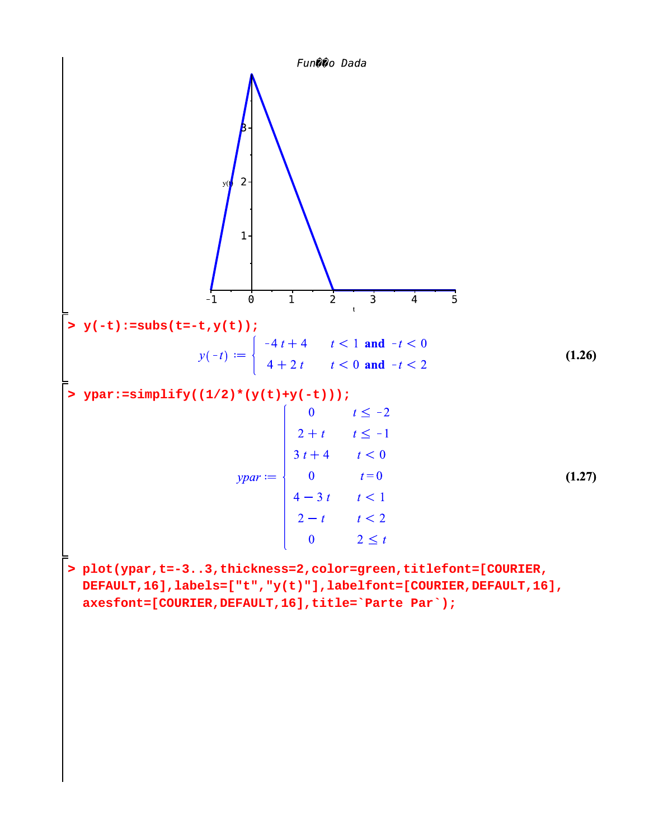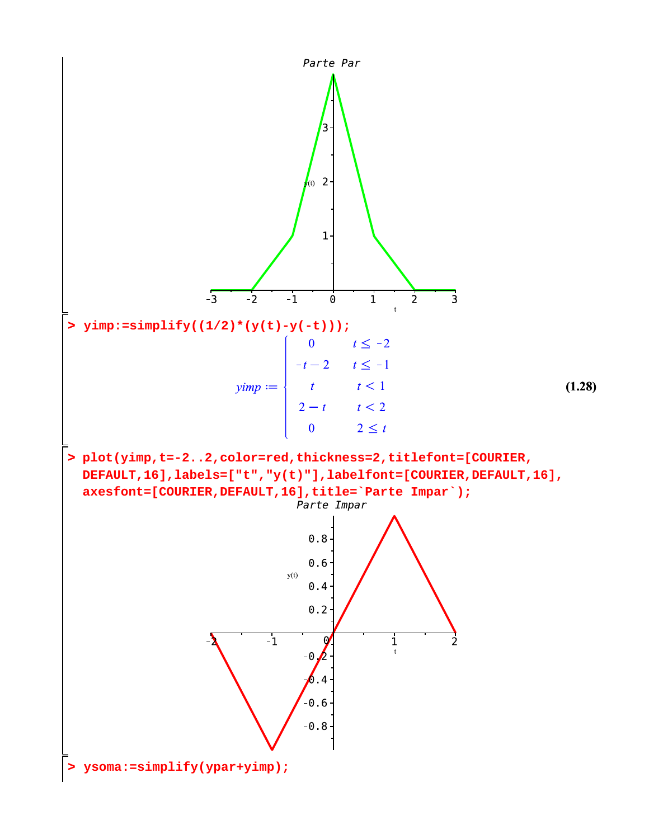